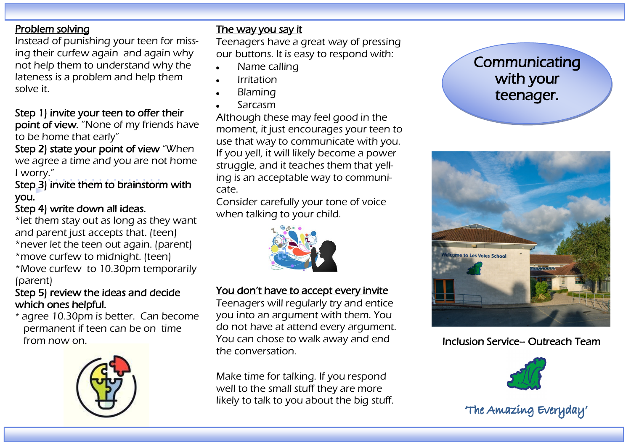### Problem solving

Instead of punishing your teen for missing their curfew again and again why not help them to understand why the lateness is a problem and help them solve it.

### Step 1) invite your teen to offer their

point of view. "None of my friends have to be home that early"

Step 2) state your point of view "When we agree a time and you are not home I worry."

Step 3) invite them to brainstorm with you.

### Step 4) write down all ideas.

\*let them stay out as long as they want and parent just accepts that. (teen) \*never let the teen out again. (parent) \*move curfew to midnight. (teen)

\*Move curfew to 10.30pm temporarily (parent)

### Step 5) review the ideas and decide which ones helpful.

\* agree 10.30pm is better. Can become permanent if teen can be on time from now on.



### The way you say it

Teenagers have a great way of pressing our buttons. It is easy to respond with:

- Name calling
- Irritation
- Blaming
- Sarcasm

Although these may feel good in the moment, it just encourages your teen to use that way to communicate with you. If you yell, it will likely become a power struggle, and it teaches them that yelling is an acceptable way to communicate.

Consider carefully your tone of voice when talking to your child.



## You don't have to accept every invite

Teenagers will regularly try and entice you into an argument with them. You do not have at attend every argument. You can chose to walk away and end the conversation.

Make time for talking. If you respond well to the small stuff they are more likely to talk to you about the big stuff.

# **Communicating** with your teenager.



## Inclusion Service– Outreach Team



<sup>&#</sup>x27;The Amazing Everyday'